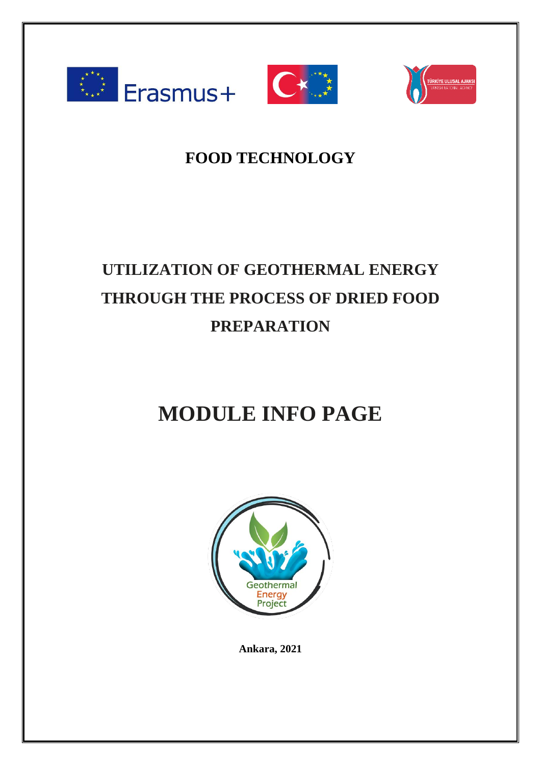





# **FOOD TECHNOLOGY**

# **UTILIZATION OF GEOTHERMAL ENERGY THROUGH THE PROCESS OF DRIED FOOD PREPARATION**

# **MODULE INFO PAGE**



**Ankara, 2021**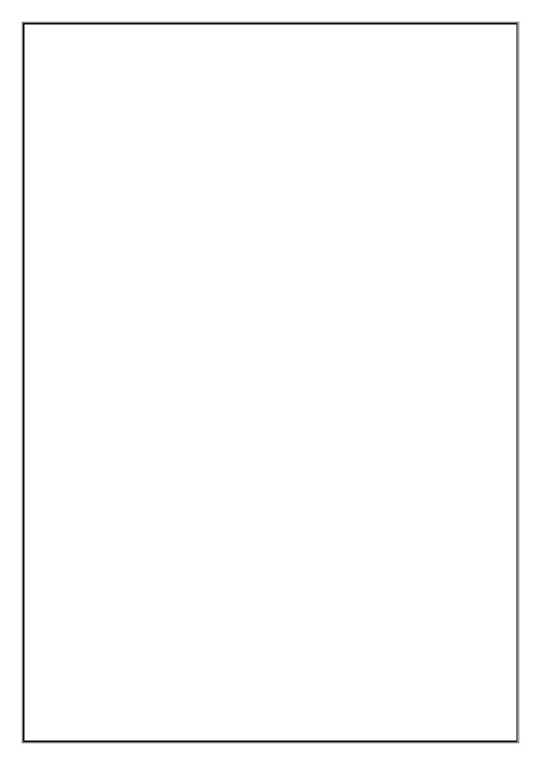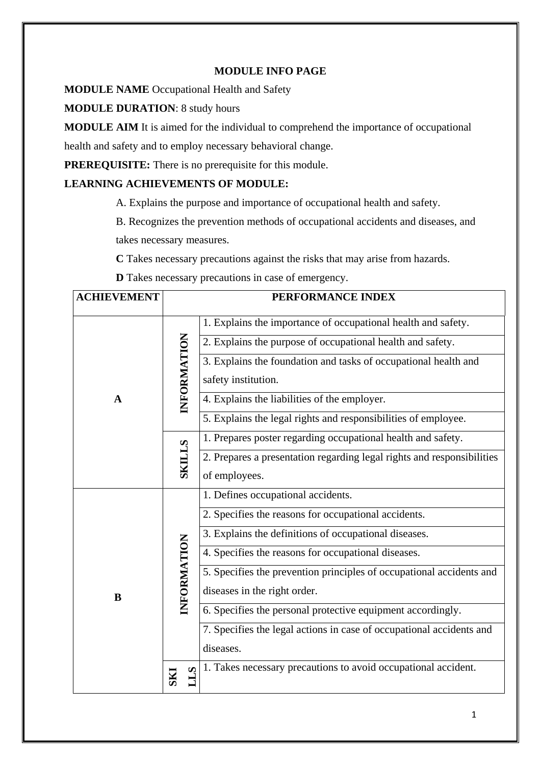**MODULE NAME** Occupational Health and Safety

**MODULE DURATION**: 8 study hours

**MODULE AIM** It is aimed for the individual to comprehend the importance of occupational

health and safety and to employ necessary behavioral change.

**PREREQUISITE:** There is no prerequisite for this module.

# **LEARNING ACHIEVEMENTS OF MODULE:**

A. Explains the purpose and importance of occupational health and safety.

B. Recognizes the prevention methods of occupational accidents and diseases, and

takes necessary measures.

**C** Takes necessary precautions against the risks that may arise from hazards.

**D** Takes necessary precautions in case of emergency.

| <b>ACHIEVEMENT</b> |                    | PERFORMANCE INDEX                                                      |  |  |
|--------------------|--------------------|------------------------------------------------------------------------|--|--|
|                    |                    | 1. Explains the importance of occupational health and safety.          |  |  |
|                    | INFORMATION        | 2. Explains the purpose of occupational health and safety.             |  |  |
|                    |                    | 3. Explains the foundation and tasks of occupational health and        |  |  |
|                    |                    | safety institution.                                                    |  |  |
| A                  |                    | 4. Explains the liabilities of the employer.                           |  |  |
|                    |                    | 5. Explains the legal rights and responsibilities of employee.         |  |  |
|                    |                    | 1. Prepares poster regarding occupational health and safety.           |  |  |
|                    | <b>SKILLS</b>      | 2. Prepares a presentation regarding legal rights and responsibilities |  |  |
|                    |                    | of employees.                                                          |  |  |
|                    |                    | 1. Defines occupational accidents.                                     |  |  |
|                    |                    | 2. Specifies the reasons for occupational accidents.                   |  |  |
|                    |                    | 3. Explains the definitions of occupational diseases.                  |  |  |
|                    |                    | 4. Specifies the reasons for occupational diseases.                    |  |  |
|                    |                    | 5. Specifies the prevention principles of occupational accidents and   |  |  |
| B                  | <b>INFORMATION</b> | diseases in the right order.                                           |  |  |
|                    |                    | 6. Specifies the personal protective equipment accordingly.            |  |  |
|                    |                    | 7. Specifies the legal actions in case of occupational accidents and   |  |  |
|                    |                    | diseases.                                                              |  |  |
|                    |                    | 1. Takes necessary precautions to avoid occupational accident.         |  |  |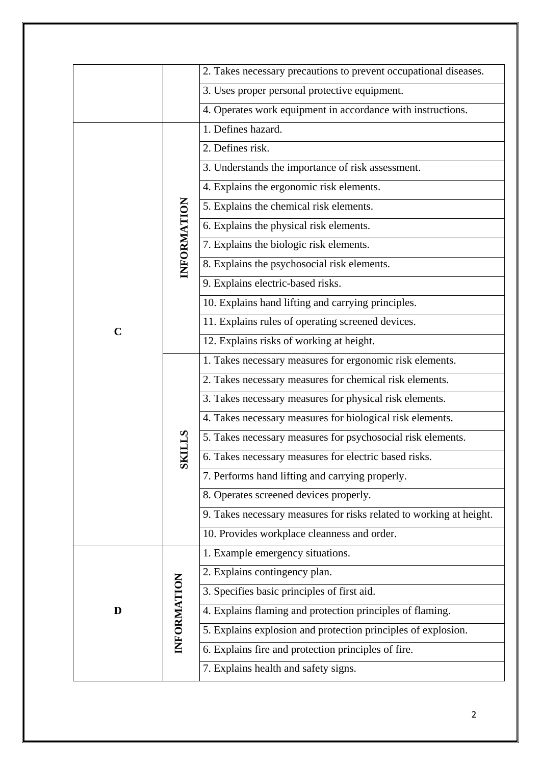|             |                         | 2. Takes necessary precautions to prevent occupational diseases.    |
|-------------|-------------------------|---------------------------------------------------------------------|
|             |                         | 3. Uses proper personal protective equipment.                       |
|             |                         | 4. Operates work equipment in accordance with instructions.         |
|             |                         | 1. Defines hazard.                                                  |
|             |                         | 2. Defines risk.                                                    |
|             |                         | 3. Understands the importance of risk assessment.                   |
|             |                         | 4. Explains the ergonomic risk elements.                            |
|             |                         | 5. Explains the chemical risk elements.                             |
|             | <b>INFORMATION</b>      | 6. Explains the physical risk elements.                             |
|             |                         | 7. Explains the biologic risk elements.                             |
|             |                         | 8. Explains the psychosocial risk elements.                         |
|             |                         | 9. Explains electric-based risks.                                   |
|             |                         | 10. Explains hand lifting and carrying principles.                  |
| $\mathbf C$ |                         | 11. Explains rules of operating screened devices.                   |
|             |                         | 12. Explains risks of working at height.                            |
|             |                         | 1. Takes necessary measures for ergonomic risk elements.            |
|             | $\overline{\mathbf{v}}$ | 2. Takes necessary measures for chemical risk elements.             |
|             |                         | 3. Takes necessary measures for physical risk elements.             |
|             |                         | 4. Takes necessary measures for biological risk elements.           |
|             |                         | 5. Takes necessary measures for psychosocial risk elements.         |
|             |                         | 6. Takes necessary measures for electric based risks.               |
|             |                         | 7. Performs hand lifting and carrying properly.                     |
|             |                         | 8. Operates screened devices properly.                              |
|             |                         | 9. Takes necessary measures for risks related to working at height. |
|             |                         | 10. Provides workplace cleanness and order.                         |
|             |                         | 1. Example emergency situations.                                    |
|             |                         | 2. Explains contingency plan.                                       |
|             | INFORMATION             | 3. Specifies basic principles of first aid.                         |
| D           |                         | 4. Explains flaming and protection principles of flaming.           |
|             |                         | 5. Explains explosion and protection principles of explosion.       |
|             |                         | 6. Explains fire and protection principles of fire.                 |
|             |                         | 7. Explains health and safety signs.                                |
|             |                         |                                                                     |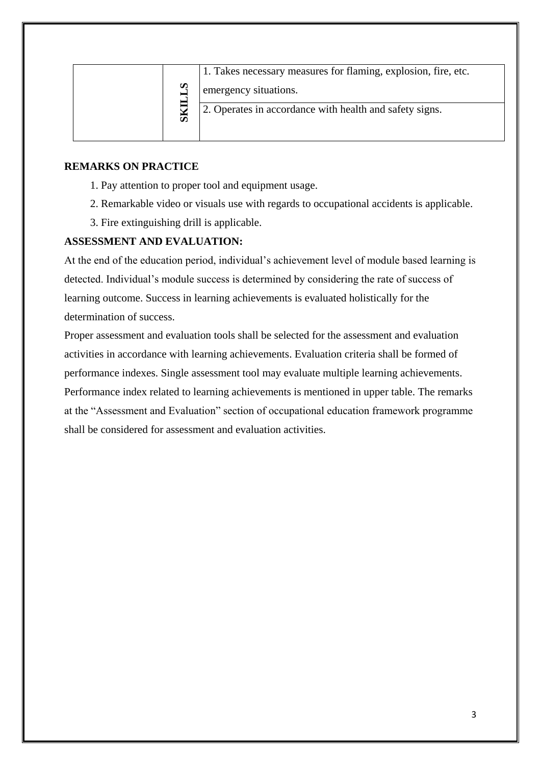|   | 1. Takes necessary measures for flaming, explosion, fire, etc. |
|---|----------------------------------------------------------------|
| ∽ | emergency situations.                                          |
| ة | 2. Operates in accordance with health and safety signs.        |
|   |                                                                |

- 1. Pay attention to proper tool and equipment usage.
- 2. Remarkable video or visuals use with regards to occupational accidents is applicable.
- 3. Fire extinguishing drill is applicable.

#### **ASSESSMENT AND EVALUATION:**

At the end of the education period, individual's achievement level of module based learning is detected. Individual's module success is determined by considering the rate of success of learning outcome. Success in learning achievements is evaluated holistically for the determination of success.

Proper assessment and evaluation tools shall be selected for the assessment and evaluation activities in accordance with learning achievements. Evaluation criteria shall be formed of performance indexes. Single assessment tool may evaluate multiple learning achievements. Performance index related to learning achievements is mentioned in upper table. The remarks at the "Assessment and Evaluation" section of occupational education framework programme shall be considered for assessment and evaluation activities.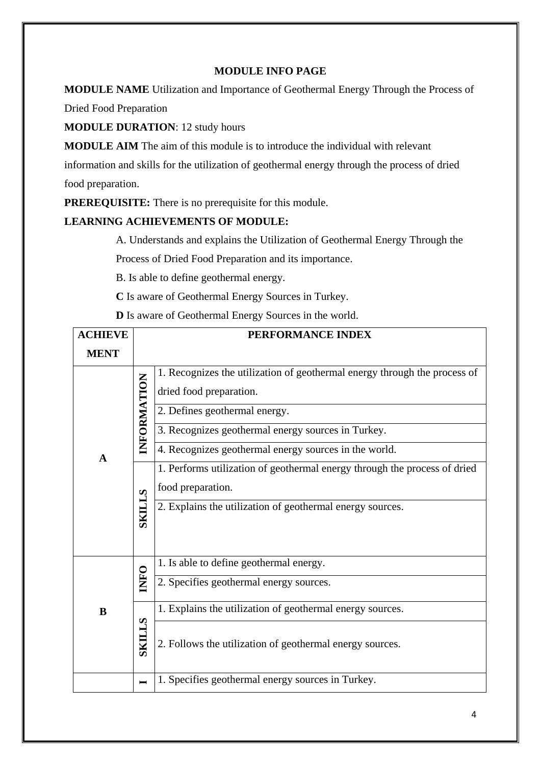**MODULE NAME** Utilization and Importance of Geothermal Energy Through the Process of

Dried Food Preparation

**MODULE DURATION**: 12 study hours

**MODULE AIM** The aim of this module is to introduce the individual with relevant

information and skills for the utilization of geothermal energy through the process of dried food preparation.

**PREREQUISITE:** There is no prerequisite for this module.

# **LEARNING ACHIEVEMENTS OF MODULE:**

A. Understands and explains the Utilization of Geothermal Energy Through the Process of Dried Food Preparation and its importance.

B. Is able to define geothermal energy.

**C** Is aware of Geothermal Energy Sources in Turkey.

**D** Is aware of Geothermal Energy Sources in the world.

| <b>ACHIEVE</b> | PERFORMANCE INDEX |                                                                           |  |  |  |
|----------------|-------------------|---------------------------------------------------------------------------|--|--|--|
| <b>MENT</b>    |                   |                                                                           |  |  |  |
|                |                   | 1. Recognizes the utilization of geothermal energy through the process of |  |  |  |
|                | INFORMATION       | dried food preparation.                                                   |  |  |  |
|                |                   | 2. Defines geothermal energy.                                             |  |  |  |
|                |                   | 3. Recognizes geothermal energy sources in Turkey.                        |  |  |  |
| $\mathbf{A}$   |                   | 4. Recognizes geothermal energy sources in the world.                     |  |  |  |
|                |                   | 1. Performs utilization of geothermal energy through the process of dried |  |  |  |
|                |                   | food preparation.                                                         |  |  |  |
|                | <b>SKILLS</b>     | 2. Explains the utilization of geothermal energy sources.                 |  |  |  |
|                |                   |                                                                           |  |  |  |
|                |                   |                                                                           |  |  |  |
|                |                   | 1. Is able to define geothermal energy.                                   |  |  |  |
|                | INFO              | 2. Specifies geothermal energy sources.                                   |  |  |  |
| $\bf{B}$       |                   | 1. Explains the utilization of geothermal energy sources.                 |  |  |  |
|                |                   |                                                                           |  |  |  |
|                | <b>SKILLS</b>     | 2. Follows the utilization of geothermal energy sources.                  |  |  |  |
|                |                   |                                                                           |  |  |  |
|                | $\blacksquare$    | 1. Specifies geothermal energy sources in Turkey.                         |  |  |  |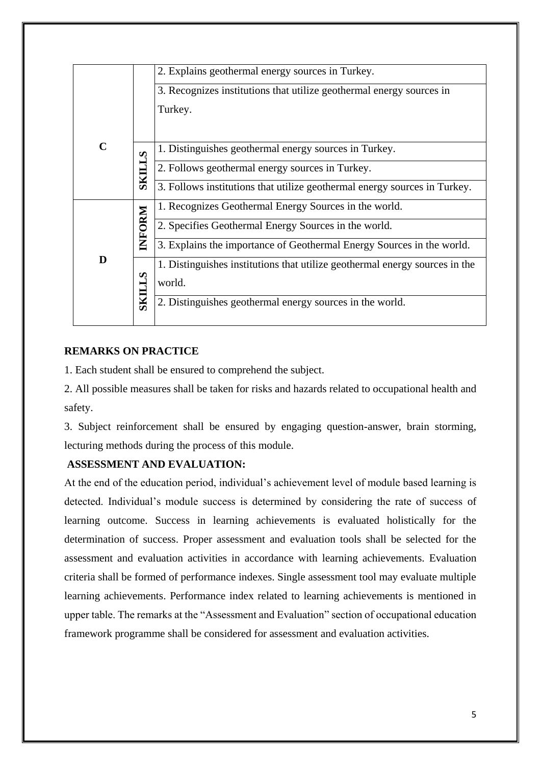|             |               | 2. Explains geothermal energy sources in Turkey.                            |  |  |  |  |  |
|-------------|---------------|-----------------------------------------------------------------------------|--|--|--|--|--|
|             |               | 3. Recognizes institutions that utilize geothermal energy sources in        |  |  |  |  |  |
|             |               | Turkey.                                                                     |  |  |  |  |  |
|             |               |                                                                             |  |  |  |  |  |
| $\mathbf C$ |               | 1. Distinguishes geothermal energy sources in Turkey.                       |  |  |  |  |  |
|             | <b>SKILLS</b> | 2. Follows geothermal energy sources in Turkey.                             |  |  |  |  |  |
|             |               | 3. Follows institutions that utilize geothermal energy sources in Turkey.   |  |  |  |  |  |
|             |               | 1. Recognizes Geothermal Energy Sources in the world.                       |  |  |  |  |  |
|             | INFORM        | 2. Specifies Geothermal Energy Sources in the world.                        |  |  |  |  |  |
|             |               | 3. Explains the importance of Geothermal Energy Sources in the world.       |  |  |  |  |  |
| D           |               | 1. Distinguishes institutions that utilize geothermal energy sources in the |  |  |  |  |  |
|             | <b>SKILLS</b> | world.                                                                      |  |  |  |  |  |
|             |               | 2. Distinguishes geothermal energy sources in the world.                    |  |  |  |  |  |
|             |               |                                                                             |  |  |  |  |  |

1. Each student shall be ensured to comprehend the subject.

2. All possible measures shall be taken for risks and hazards related to occupational health and safety.

3. Subject reinforcement shall be ensured by engaging question-answer, brain storming, lecturing methods during the process of this module.

# **ASSESSMENT AND EVALUATION:**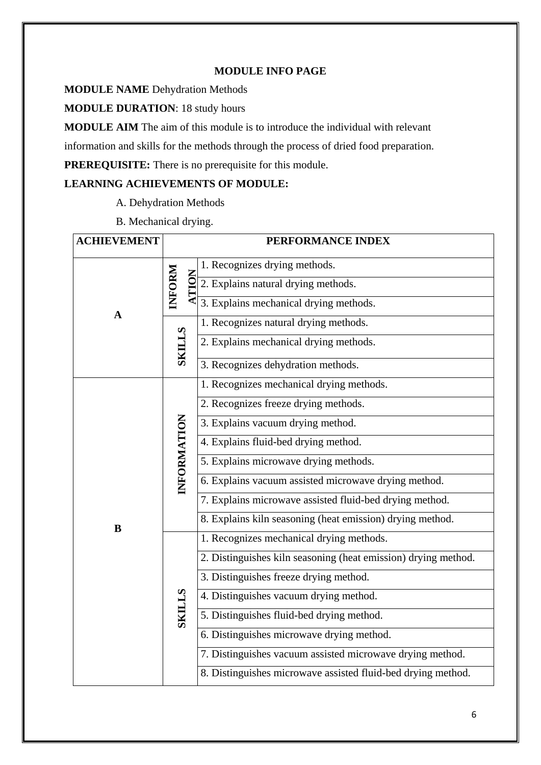#### **MODULE NAME** Dehydration Methods

**MODULE DURATION**: 18 study hours

**MODULE AIM** The aim of this module is to introduce the individual with relevant

information and skills for the methods through the process of dried food preparation.

**PREREQUISITE:** There is no prerequisite for this module.

#### **LEARNING ACHIEVEMENTS OF MODULE:**

- A. Dehydration Methods
- B. Mechanical drying.

| <b>ACHIEVEMENT</b> | PERFORMANCE INDEX |                                                                |  |
|--------------------|-------------------|----------------------------------------------------------------|--|
|                    |                   | 1. Recognizes drying methods.                                  |  |
|                    | INFORM<br>TION    | 2. Explains natural drying methods.                            |  |
| $\mathbf{A}$       |                   | 3. Explains mechanical drying methods.                         |  |
|                    |                   | 1. Recognizes natural drying methods.                          |  |
|                    | <b>SKILLS</b>     | 2. Explains mechanical drying methods.                         |  |
|                    |                   | 3. Recognizes dehydration methods.                             |  |
|                    |                   | 1. Recognizes mechanical drying methods.                       |  |
|                    |                   | 2. Recognizes freeze drying methods.                           |  |
|                    |                   | 3. Explains vacuum drying method.                              |  |
|                    |                   | 4. Explains fluid-bed drying method.                           |  |
|                    | INFORMATION       | 5. Explains microwave drying methods.                          |  |
|                    |                   | 6. Explains vacuum assisted microwave drying method.           |  |
|                    |                   | 7. Explains microwave assisted fluid-bed drying method.        |  |
| $\bf{B}$           |                   | 8. Explains kiln seasoning (heat emission) drying method.      |  |
|                    |                   | 1. Recognizes mechanical drying methods.                       |  |
|                    |                   | 2. Distinguishes kiln seasoning (heat emission) drying method. |  |
|                    |                   | 3. Distinguishes freeze drying method.                         |  |
|                    |                   | 4. Distinguishes vacuum drying method.                         |  |
|                    | <b>SKILLS</b>     | 5. Distinguishes fluid-bed drying method.                      |  |
|                    |                   | 6. Distinguishes microwave drying method.                      |  |
|                    |                   | 7. Distinguishes vacuum assisted microwave drying method.      |  |
|                    |                   | 8. Distinguishes microwave assisted fluid-bed drying method.   |  |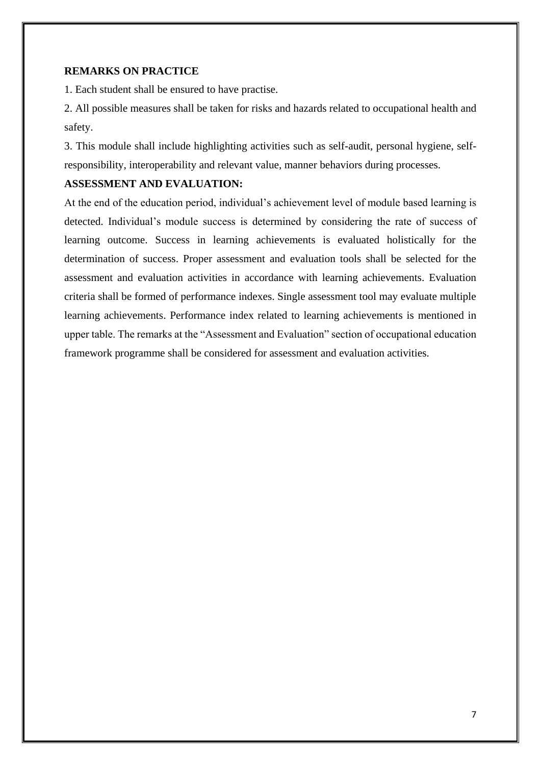1. Each student shall be ensured to have practise.

2. All possible measures shall be taken for risks and hazards related to occupational health and safety.

3. This module shall include highlighting activities such as self-audit, personal hygiene, selfresponsibility, interoperability and relevant value, manner behaviors during processes.

#### **ASSESSMENT AND EVALUATION:**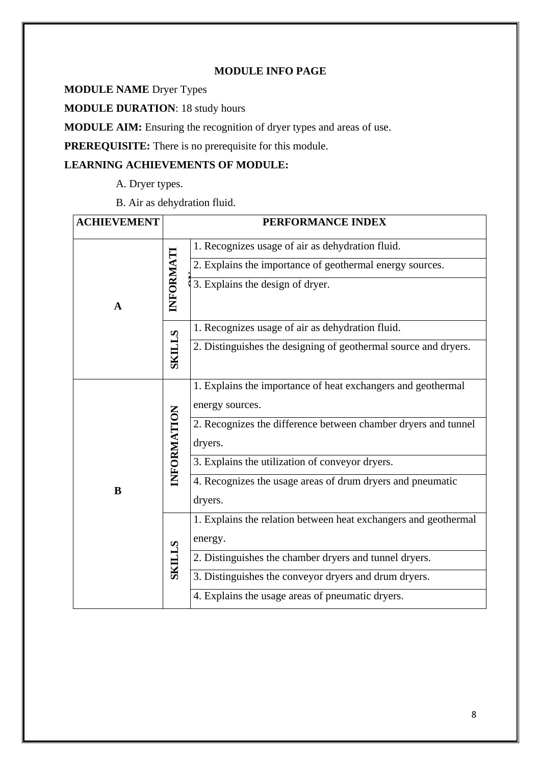**MODULE NAME** Dryer Types

**MODULE DURATION**: 18 study hours

**MODULE AIM:** Ensuring the recognition of dryer types and areas of use.

**PREREQUISITE:** There is no prerequisite for this module.

# **LEARNING ACHIEVEMENTS OF MODULE:**

A. Dryer types.

B. Air as dehydration fluid.

| <b>ACHIEVEMENT</b> |               | PERFORMANCE INDEX                                                                                                                                                                                                                                                                        |
|--------------------|---------------|------------------------------------------------------------------------------------------------------------------------------------------------------------------------------------------------------------------------------------------------------------------------------------------|
| A                  | INFORMATI     | 1. Recognizes usage of air as dehydration fluid.<br>2. Explains the importance of geothermal energy sources.<br>3. Explains the design of dryer.                                                                                                                                         |
|                    | <b>SKILLS</b> | 1. Recognizes usage of air as dehydration fluid.<br>2. Distinguishes the designing of geothermal source and dryers.                                                                                                                                                                      |
| B                  | INFORMATION   | 1. Explains the importance of heat exchangers and geothermal<br>energy sources.<br>2. Recognizes the difference between chamber dryers and tunnel<br>dryers.<br>3. Explains the utilization of conveyor dryers.<br>4. Recognizes the usage areas of drum dryers and pneumatic<br>dryers. |
|                    | <b>SKILLS</b> | 1. Explains the relation between heat exchangers and geothermal<br>energy.<br>2. Distinguishes the chamber dryers and tunnel dryers.<br>3. Distinguishes the conveyor dryers and drum dryers.<br>4. Explains the usage areas of pneumatic dryers.                                        |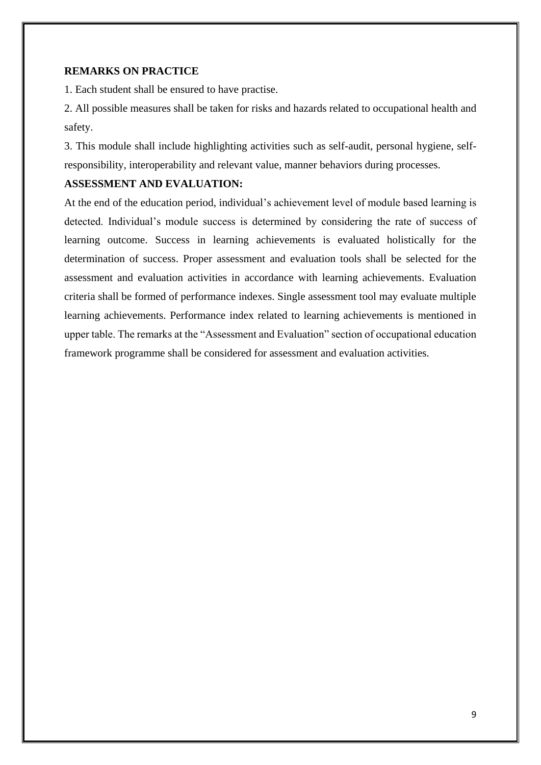1. Each student shall be ensured to have practise.

2. All possible measures shall be taken for risks and hazards related to occupational health and safety.

3. This module shall include highlighting activities such as self-audit, personal hygiene, selfresponsibility, interoperability and relevant value, manner behaviors during processes.

#### **ASSESSMENT AND EVALUATION:**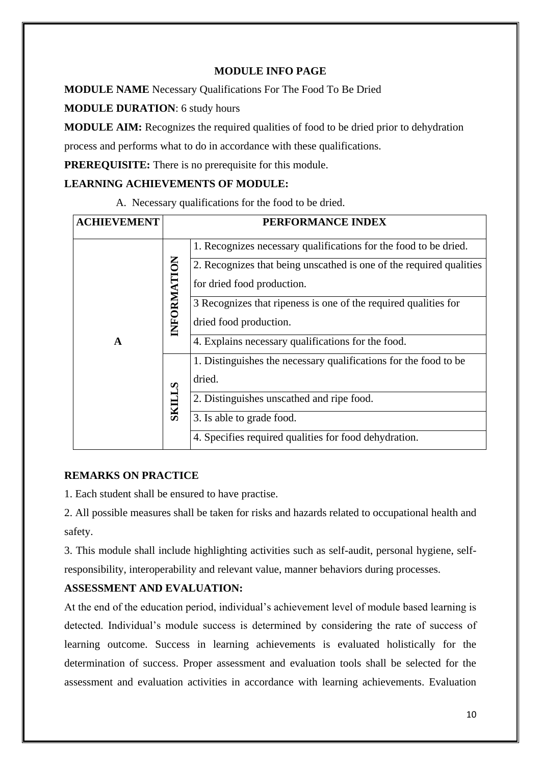**MODULE NAME** Necessary Qualifications For The Food To Be Dried

**MODULE DURATION**: 6 study hours

**MODULE AIM:** Recognizes the required qualities of food to be dried prior to dehydration

process and performs what to do in accordance with these qualifications.

**PREREQUISITE:** There is no prerequisite for this module.

# **LEARNING ACHIEVEMENTS OF MODULE:**

A. Necessary qualifications for the food to be dried.

| <b>ACHIEVEMENT</b> | PERFORMANCE INDEX |                                                                     |
|--------------------|-------------------|---------------------------------------------------------------------|
|                    |                   | 1. Recognizes necessary qualifications for the food to be dried.    |
|                    |                   | 2. Recognizes that being unscathed is one of the required qualities |
|                    |                   | for dried food production.                                          |
|                    |                   | 3 Recognizes that ripeness is one of the required qualities for     |
|                    | INFORMATION       | dried food production.                                              |
| A                  |                   | 4. Explains necessary qualifications for the food.                  |
|                    |                   | 1. Distinguishes the necessary qualifications for the food to be    |
|                    |                   | dried.                                                              |
|                    | <b>SKILLS</b>     | 2. Distinguishes unscathed and ripe food.                           |
|                    |                   | 3. Is able to grade food.                                           |
|                    |                   | 4. Specifies required qualities for food dehydration.               |

# **REMARKS ON PRACTICE**

1. Each student shall be ensured to have practise.

2. All possible measures shall be taken for risks and hazards related to occupational health and safety.

3. This module shall include highlighting activities such as self-audit, personal hygiene, selfresponsibility, interoperability and relevant value, manner behaviors during processes.

# **ASSESSMENT AND EVALUATION:**

At the end of the education period, individual's achievement level of module based learning is detected. Individual's module success is determined by considering the rate of success of learning outcome. Success in learning achievements is evaluated holistically for the determination of success. Proper assessment and evaluation tools shall be selected for the assessment and evaluation activities in accordance with learning achievements. Evaluation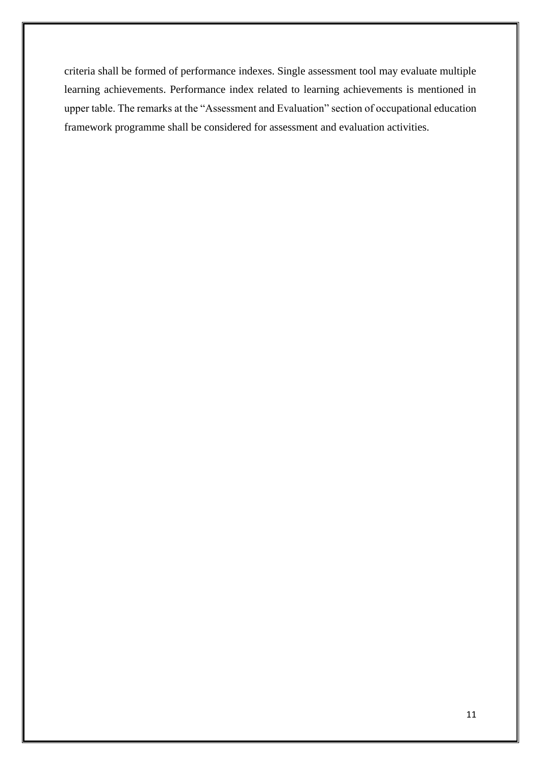criteria shall be formed of performance indexes. Single assessment tool may evaluate multiple learning achievements. Performance index related to learning achievements is mentioned in upper table. The remarks at the "Assessment and Evaluation" section of occupational education framework programme shall be considered for assessment and evaluation activities.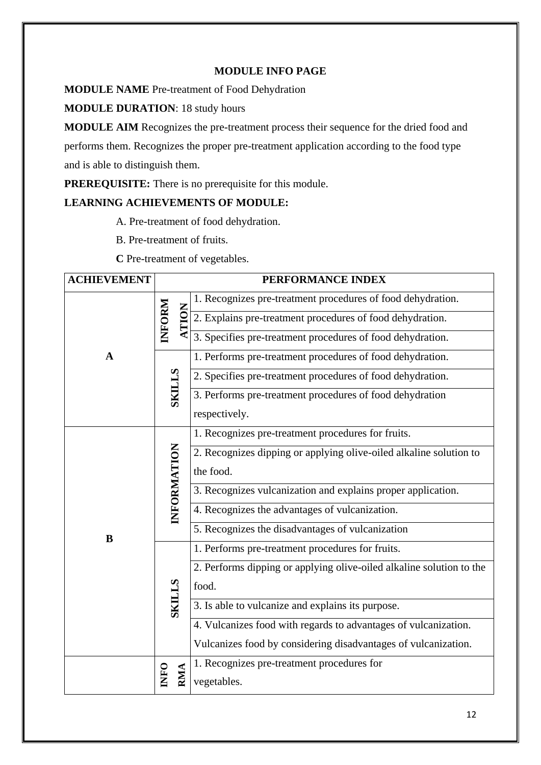**MODULE NAME** Pre-treatment of Food Dehydration

**MODULE DURATION**: 18 study hours

**MODULE AIM** Recognizes the pre-treatment process their sequence for the dried food and performs them. Recognizes the proper pre-treatment application according to the food type and is able to distinguish them.

**PREREQUISITE:** There is no prerequisite for this module.

# **LEARNING ACHIEVEMENTS OF MODULE:**

- A. Pre-treatment of food dehydration.
- B. Pre-treatment of fruits.
- **C** Pre-treatment of vegetables.

| <b>ACHIEVEMENT</b> |                    | PERFORMANCE INDEX |                                                                      |  |
|--------------------|--------------------|-------------------|----------------------------------------------------------------------|--|
|                    |                    |                   | 1. Recognizes pre-treatment procedures of food dehydration.          |  |
|                    | <b>INFORM</b>      | <b>ATION</b>      | 2. Explains pre-treatment procedures of food dehydration.            |  |
|                    |                    |                   | 3. Specifies pre-treatment procedures of food dehydration.           |  |
| A                  |                    |                   | 1. Performs pre-treatment procedures of food dehydration.            |  |
|                    |                    |                   | 2. Specifies pre-treatment procedures of food dehydration.           |  |
|                    |                    | <b>SKILLS</b>     | 3. Performs pre-treatment procedures of food dehydration             |  |
|                    |                    |                   | respectively.                                                        |  |
|                    |                    |                   | 1. Recognizes pre-treatment procedures for fruits.                   |  |
|                    |                    |                   | 2. Recognizes dipping or applying olive-oiled alkaline solution to   |  |
|                    |                    |                   | the food.                                                            |  |
|                    | <b>INFORMATION</b> |                   | 3. Recognizes vulcanization and explains proper application.         |  |
|                    |                    |                   | 4. Recognizes the advantages of vulcanization.                       |  |
| B                  |                    |                   | 5. Recognizes the disadvantages of vulcanization                     |  |
|                    |                    |                   | 1. Performs pre-treatment procedures for fruits.                     |  |
|                    |                    |                   | 2. Performs dipping or applying olive-oiled alkaline solution to the |  |
|                    |                    |                   | food.                                                                |  |
|                    |                    | <b>SKILLS</b>     | 3. Is able to vulcanize and explains its purpose.                    |  |
|                    |                    |                   | 4. Vulcanizes food with regards to advantages of vulcanization.      |  |
|                    |                    |                   | Vulcanizes food by considering disadvantages of vulcanization.       |  |
|                    |                    |                   | 1. Recognizes pre-treatment procedures for                           |  |
|                    | INFO               | RMA               | vegetables.                                                          |  |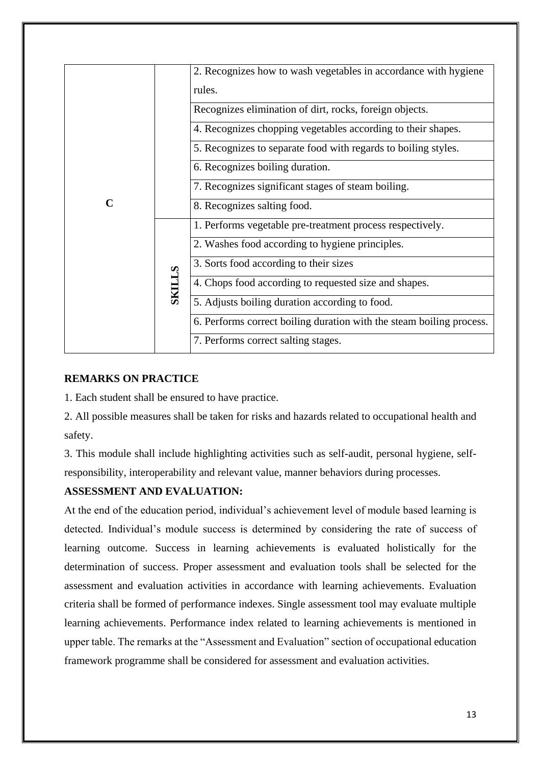|             |               | 2. Recognizes how to wash vegetables in accordance with hygiene      |
|-------------|---------------|----------------------------------------------------------------------|
|             |               | rules.                                                               |
|             |               | Recognizes elimination of dirt, rocks, foreign objects.              |
|             |               | 4. Recognizes chopping vegetables according to their shapes.         |
|             |               | 5. Recognizes to separate food with regards to boiling styles.       |
|             |               | 6. Recognizes boiling duration.                                      |
|             |               | 7. Recognizes significant stages of steam boiling.                   |
| $\mathbf C$ |               | 8. Recognizes salting food.                                          |
|             |               | 1. Performs vegetable pre-treatment process respectively.            |
|             |               | 2. Washes food according to hygiene principles.                      |
|             | <b>SKILLS</b> | 3. Sorts food according to their sizes                               |
|             |               | 4. Chops food according to requested size and shapes.                |
|             |               | 5. Adjusts boiling duration according to food.                       |
|             |               | 6. Performs correct boiling duration with the steam boiling process. |
|             |               | 7. Performs correct salting stages.                                  |

1. Each student shall be ensured to have practice.

2. All possible measures shall be taken for risks and hazards related to occupational health and safety.

3. This module shall include highlighting activities such as self-audit, personal hygiene, selfresponsibility, interoperability and relevant value, manner behaviors during processes.

# **ASSESSMENT AND EVALUATION:**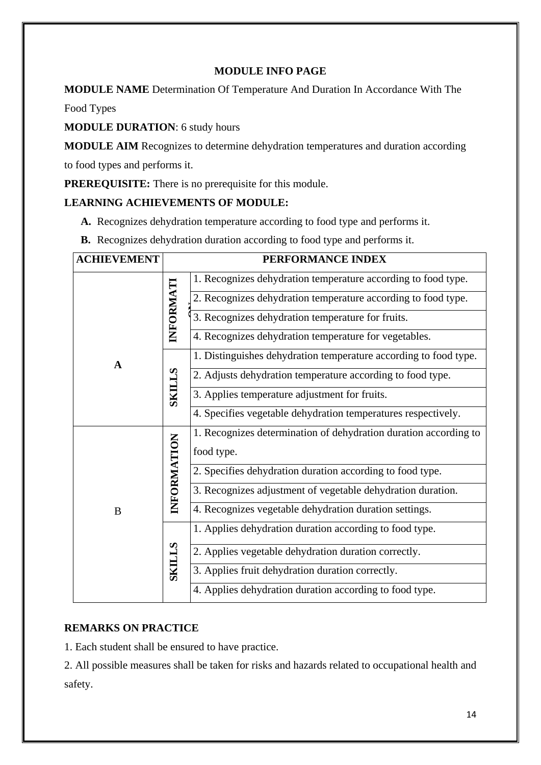# **MODULE NAME** Determination Of Temperature And Duration In Accordance With The

Food Types

# **MODULE DURATION**: 6 study hours

**MODULE AIM** Recognizes to determine dehydration temperatures and duration according

to food types and performs it.

**PREREQUISITE:** There is no prerequisite for this module.

# **LEARNING ACHIEVEMENTS OF MODULE:**

- **A.** Recognizes dehydration temperature according to food type and performs it.
- **B.** Recognizes dehydration duration according to food type and performs it.

| <b>ACHIEVEMENT</b> | PERFORMANCE INDEX |                                                                  |
|--------------------|-------------------|------------------------------------------------------------------|
|                    |                   | 1. Recognizes dehydration temperature according to food type.    |
|                    | INFORMATI         | 2. Recognizes dehydration temperature according to food type.    |
|                    |                   | 3. Recognizes dehydration temperature for fruits.                |
|                    |                   | 4. Recognizes dehydration temperature for vegetables.            |
| $\mathbf A$        |                   | 1. Distinguishes dehydration temperature according to food type. |
|                    | <b>SKILLS</b>     | 2. Adjusts dehydration temperature according to food type.       |
|                    |                   | 3. Applies temperature adjustment for fruits.                    |
|                    |                   | 4. Specifies vegetable dehydration temperatures respectively.    |
|                    |                   | 1. Recognizes determination of dehydration duration according to |
|                    |                   | food type.                                                       |
|                    |                   | 2. Specifies dehydration duration according to food type.        |
|                    | INFORMATION       | 3. Recognizes adjustment of vegetable dehydration duration.      |
| B                  |                   | 4. Recognizes vegetable dehydration duration settings.           |
|                    |                   | 1. Applies dehydration duration according to food type.          |
|                    | <b>SKILLS</b>     | 2. Applies vegetable dehydration duration correctly.             |
|                    |                   | 3. Applies fruit dehydration duration correctly.                 |
|                    |                   | 4. Applies dehydration duration according to food type.          |

# **REMARKS ON PRACTICE**

1. Each student shall be ensured to have practice.

2. All possible measures shall be taken for risks and hazards related to occupational health and safety.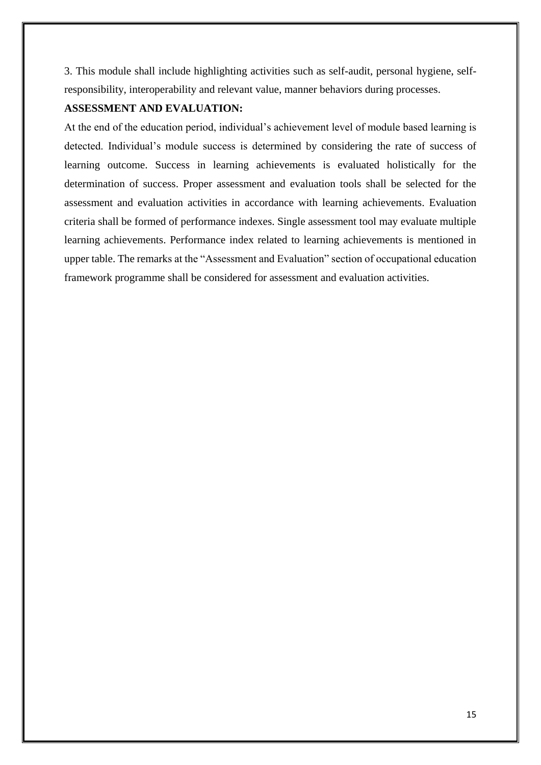3. This module shall include highlighting activities such as self-audit, personal hygiene, selfresponsibility, interoperability and relevant value, manner behaviors during processes.

# **ASSESSMENT AND EVALUATION:**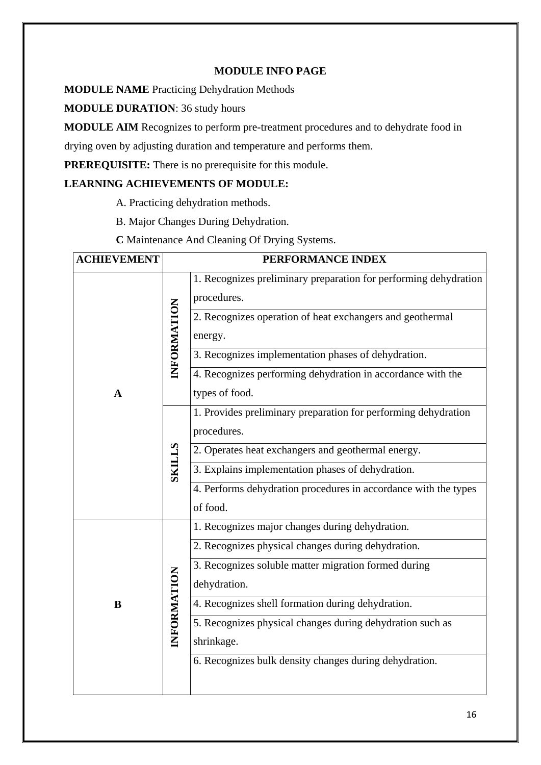**MODULE NAME** Practicing Dehydration Methods

**MODULE DURATION**: 36 study hours

**MODULE AIM** Recognizes to perform pre-treatment procedures and to dehydrate food in

drying oven by adjusting duration and temperature and performs them.

**PREREQUISITE:** There is no prerequisite for this module.

#### **LEARNING ACHIEVEMENTS OF MODULE:**

- A. Practicing dehydration methods.
- B. Major Changes During Dehydration.
- **C** Maintenance And Cleaning Of Drying Systems.

|               | PERFORMANCE INDEX                                                |  |  |
|---------------|------------------------------------------------------------------|--|--|
|               | 1. Recognizes preliminary preparation for performing dehydration |  |  |
|               | procedures.                                                      |  |  |
|               | 2. Recognizes operation of heat exchangers and geothermal        |  |  |
|               | energy.                                                          |  |  |
|               | 3. Recognizes implementation phases of dehydration.              |  |  |
|               | 4. Recognizes performing dehydration in accordance with the      |  |  |
|               | types of food.                                                   |  |  |
|               | 1. Provides preliminary preparation for performing dehydration   |  |  |
| <b>SKILLS</b> | procedures.                                                      |  |  |
|               | 2. Operates heat exchangers and geothermal energy.               |  |  |
|               | 3. Explains implementation phases of dehydration.                |  |  |
|               | 4. Performs dehydration procedures in accordance with the types  |  |  |
|               | of food.                                                         |  |  |
|               | 1. Recognizes major changes during dehydration.                  |  |  |
| INFORMATION   | 2. Recognizes physical changes during dehydration.               |  |  |
|               | 3. Recognizes soluble matter migration formed during             |  |  |
|               | dehydration.                                                     |  |  |
|               | 4. Recognizes shell formation during dehydration.                |  |  |
|               | 5. Recognizes physical changes during dehydration such as        |  |  |
|               | shrinkage.                                                       |  |  |
|               | 6. Recognizes bulk density changes during dehydration.           |  |  |
|               |                                                                  |  |  |
|               | INFORMATION                                                      |  |  |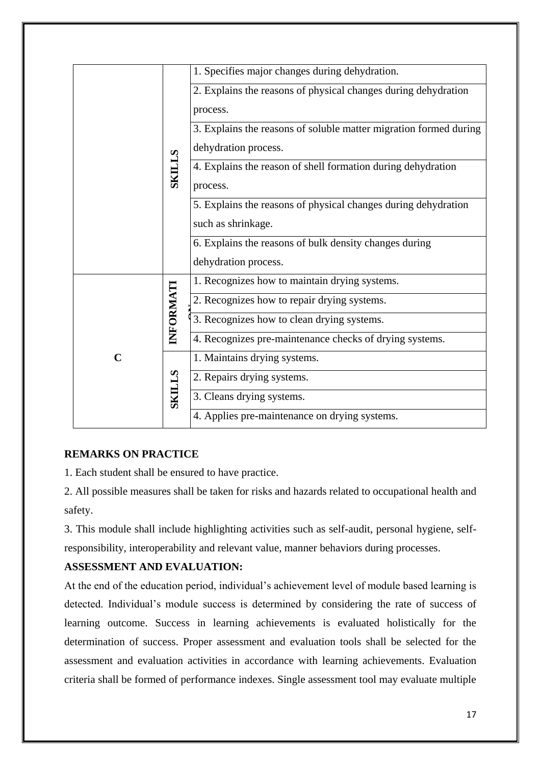|  | 1. Specifies major changes during dehydration.                    |
|--|-------------------------------------------------------------------|
|  | 2. Explains the reasons of physical changes during dehydration    |
|  | process.                                                          |
|  | 3. Explains the reasons of soluble matter migration formed during |
|  | dehydration process.                                              |
|  | 4. Explains the reason of shell formation during dehydration      |
|  | process.                                                          |
|  | 5. Explains the reasons of physical changes during dehydration    |
|  | such as shrinkage.                                                |
|  | 6. Explains the reasons of bulk density changes during            |
|  | dehydration process.                                              |
|  | 1. Recognizes how to maintain drying systems.                     |
|  | 2. Recognizes how to repair drying systems.                       |
|  | 3. Recognizes how to clean drying systems.                        |
|  | 4. Recognizes pre-maintenance checks of drying systems.           |
|  | 1. Maintains drying systems.                                      |
|  | 2. Repairs drying systems.                                        |
|  | 3. Cleans drying systems.                                         |
|  | 4. Applies pre-maintenance on drying systems.                     |
|  | <b>SKILLS</b><br>INFORMATI<br><b>SKILLS</b>                       |

1. Each student shall be ensured to have practice.

2. All possible measures shall be taken for risks and hazards related to occupational health and safety.

3. This module shall include highlighting activities such as self-audit, personal hygiene, selfresponsibility, interoperability and relevant value, manner behaviors during processes.

# **ASSESSMENT AND EVALUATION:**

At the end of the education period, individual's achievement level of module based learning is detected. Individual's module success is determined by considering the rate of success of learning outcome. Success in learning achievements is evaluated holistically for the determination of success. Proper assessment and evaluation tools shall be selected for the assessment and evaluation activities in accordance with learning achievements. Evaluation criteria shall be formed of performance indexes. Single assessment tool may evaluate multiple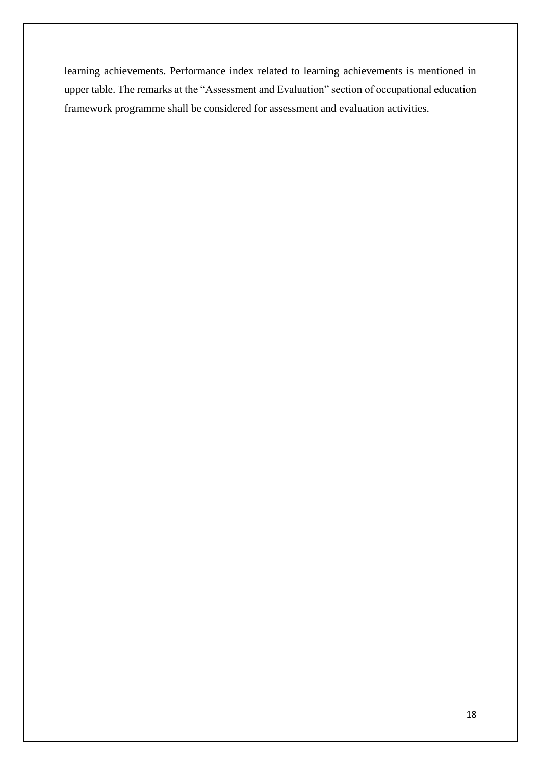learning achievements. Performance index related to learning achievements is mentioned in upper table. The remarks at the "Assessment and Evaluation" section of occupational education framework programme shall be considered for assessment and evaluation activities.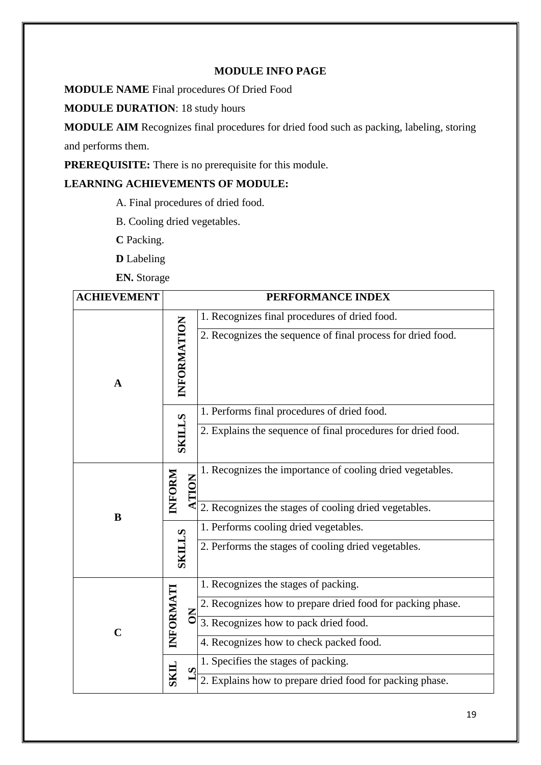**MODULE NAME** Final procedures Of Dried Food

**MODULE DURATION**: 18 study hours

**MODULE AIM** Recognizes final procedures for dried food such as packing, labeling, storing

and performs them.

**PREREQUISITE:** There is no prerequisite for this module.

# **LEARNING ACHIEVEMENTS OF MODULE:**

- A. Final procedures of dried food.
- B. Cooling dried vegetables.
- **C** Packing.
- **D** Labeling

**EN.** Storage

| <b>ACHIEVEMENT</b> | PERFORMANCE INDEX  |                                                              |  |
|--------------------|--------------------|--------------------------------------------------------------|--|
| $\mathbf A$        | <b>INFORMATION</b> | 1. Recognizes final procedures of dried food.                |  |
|                    |                    | 2. Recognizes the sequence of final process for dried food.  |  |
|                    | <b>SKILLS</b>      | 1. Performs final procedures of dried food.                  |  |
|                    |                    | 2. Explains the sequence of final procedures for dried food. |  |
| B                  | INFORM<br>TION     | 1. Recognizes the importance of cooling dried vegetables.    |  |
|                    |                    | 2. Recognizes the stages of cooling dried vegetables.        |  |
|                    |                    | 1. Performs cooling dried vegetables.                        |  |
|                    | <b>SKILLS</b>      | 2. Performs the stages of cooling dried vegetables.          |  |
| $\overline{C}$     |                    | 1. Recognizes the stages of packing.                         |  |
|                    | INFORMATI          | 2. Recognizes how to prepare dried food for packing phase.   |  |
|                    | $\mathsf{S}$       | 3. Recognizes how to pack dried food.                        |  |
|                    |                    | 4. Recognizes how to check packed food.                      |  |
|                    | <b>SKIL</b>        | 1. Specifies the stages of packing.                          |  |
|                    |                    | 2. Explains how to prepare dried food for packing phase.     |  |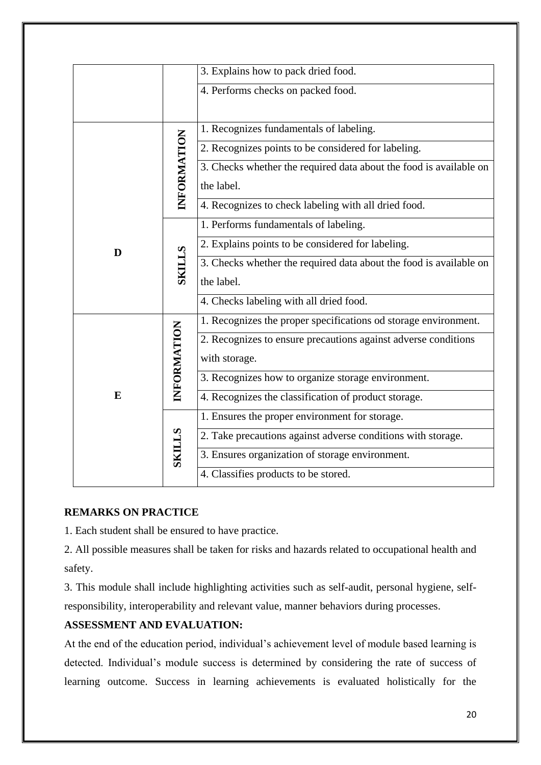|   |                    | 3. Explains how to pack dried food.                                |
|---|--------------------|--------------------------------------------------------------------|
|   |                    | 4. Performs checks on packed food.                                 |
|   |                    |                                                                    |
|   |                    | 1. Recognizes fundamentals of labeling.                            |
|   | <b>INFORMATION</b> | 2. Recognizes points to be considered for labeling.                |
|   |                    | 3. Checks whether the required data about the food is available on |
|   |                    | the label.                                                         |
|   |                    | 4. Recognizes to check labeling with all dried food.               |
|   | <b>SKILLS</b>      | 1. Performs fundamentals of labeling.                              |
| D |                    | 2. Explains points to be considered for labeling.                  |
|   |                    | 3. Checks whether the required data about the food is available on |
|   |                    | the label.                                                         |
|   |                    | 4. Checks labeling with all dried food.                            |
|   |                    | 1. Recognizes the proper specifications od storage environment.    |
| E | INFORMATION        | 2. Recognizes to ensure precautions against adverse conditions     |
|   |                    | with storage.                                                      |
|   |                    | 3. Recognizes how to organize storage environment.                 |
|   |                    | 4. Recognizes the classification of product storage.               |
|   | <b>SKILLS</b>      | 1. Ensures the proper environment for storage.                     |
|   |                    | 2. Take precautions against adverse conditions with storage.       |
|   |                    | 3. Ensures organization of storage environment.                    |
|   |                    | 4. Classifies products to be stored.                               |

1. Each student shall be ensured to have practice.

2. All possible measures shall be taken for risks and hazards related to occupational health and safety.

3. This module shall include highlighting activities such as self-audit, personal hygiene, selfresponsibility, interoperability and relevant value, manner behaviors during processes.

# **ASSESSMENT AND EVALUATION:**

At the end of the education period, individual's achievement level of module based learning is detected. Individual's module success is determined by considering the rate of success of learning outcome. Success in learning achievements is evaluated holistically for the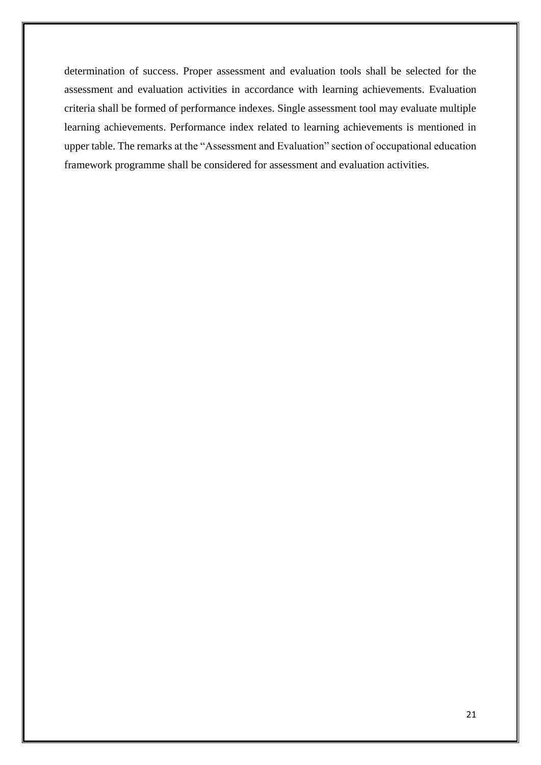determination of success. Proper assessment and evaluation tools shall be selected for the assessment and evaluation activities in accordance with learning achievements. Evaluation criteria shall be formed of performance indexes. Single assessment tool may evaluate multiple learning achievements. Performance index related to learning achievements is mentioned in upper table. The remarks at the "Assessment and Evaluation" section of occupational education framework programme shall be considered for assessment and evaluation activities.